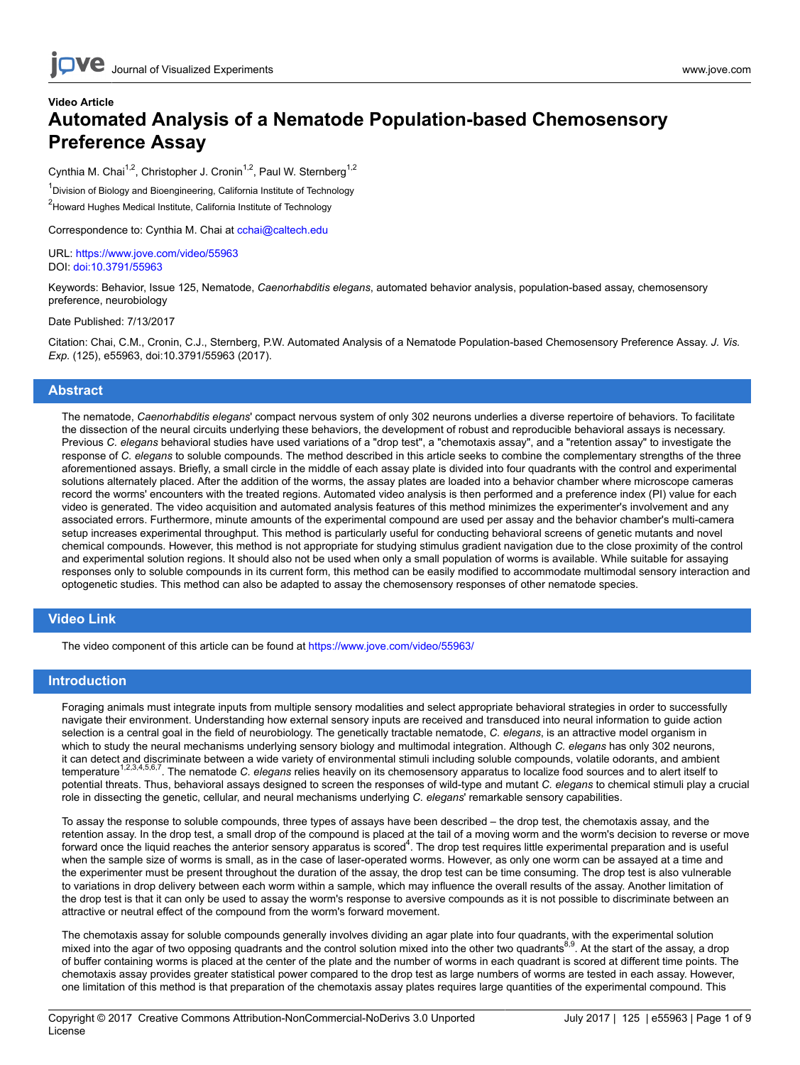# **Video Article Automated Analysis of a Nematode Population-based Chemosensory Preference Assay**

Cynthia M. Chai<sup>1,2</sup>, Christopher J. Cronin<sup>1,2</sup>, Paul W. Sternberg<sup>1,2</sup>

<sup>1</sup>Division of Biology and Bioengineering, California Institute of Technology <sup>2</sup>Howard Hughes Medical Institute, California Institute of Technology

Correspondence to: Cynthia M. Chai at [cchai@caltech.edu](mailto:cchai@caltech.edu)

URL:<https://www.jove.com/video/55963> DOI: [doi:10.3791/55963](http://dx.doi.org/10.3791/55963)

Keywords: Behavior, Issue 125, Nematode, *Caenorhabditis elegans*, automated behavior analysis, population-based assay, chemosensory preference, neurobiology

Date Published: 7/13/2017

Citation: Chai, C.M., Cronin, C.J., Sternberg, P.W. Automated Analysis of a Nematode Population-based Chemosensory Preference Assay. *J. Vis. Exp.* (125), e55963, doi:10.3791/55963 (2017).

#### **Abstract**

The nematode, *Caenorhabditis elegans*' compact nervous system of only 302 neurons underlies a diverse repertoire of behaviors. To facilitate the dissection of the neural circuits underlying these behaviors, the development of robust and reproducible behavioral assays is necessary. Previous *C. elegans* behavioral studies have used variations of a "drop test", a "chemotaxis assay", and a "retention assay" to investigate the response of *C. elegans* to soluble compounds. The method described in this article seeks to combine the complementary strengths of the three aforementioned assays. Briefly, a small circle in the middle of each assay plate is divided into four quadrants with the control and experimental solutions alternately placed. After the addition of the worms, the assay plates are loaded into a behavior chamber where microscope cameras record the worms' encounters with the treated regions. Automated video analysis is then performed and a preference index (PI) value for each video is generated. The video acquisition and automated analysis features of this method minimizes the experimenter's involvement and any associated errors. Furthermore, minute amounts of the experimental compound are used per assay and the behavior chamber's multi-camera setup increases experimental throughput. This method is particularly useful for conducting behavioral screens of genetic mutants and novel chemical compounds. However, this method is not appropriate for studying stimulus gradient navigation due to the close proximity of the control and experimental solution regions. It should also not be used when only a small population of worms is available. While suitable for assaying responses only to soluble compounds in its current form, this method can be easily modified to accommodate multimodal sensory interaction and optogenetic studies. This method can also be adapted to assay the chemosensory responses of other nematode species.

## **Video Link**

The video component of this article can be found at <https://www.jove.com/video/55963/>

#### **Introduction**

Foraging animals must integrate inputs from multiple sensory modalities and select appropriate behavioral strategies in order to successfully navigate their environment. Understanding how external sensory inputs are received and transduced into neural information to guide action selection is a central goal in the field of neurobiology. The genetically tractable nematode, *C. elegans*, is an attractive model organism in which to study the neural mechanisms underlying sensory biology and multimodal integration. Although *C. elegans* has only 302 neurons, it can detect and discriminate between a wide variety of environmental stimuli including soluble compounds, volatile odorants, and ambient temperature<sup>1,2,3,4,5,6,7</sup>. The nematode *C. elegans* relies heavily on its chemosensory apparatus to localize food sources and to alert itself to potential threats. Thus, behavioral assays designed to screen the responses of wild-type and mutant *C. elegans* to chemical stimuli play a crucial role in dissecting the genetic, cellular, and neural mechanisms underlying *C. elegans*' remarkable sensory capabilities.

To assay the response to soluble compounds, three types of assays have been described – the drop test, the chemotaxis assay, and the retention assay. In the drop test, a small drop of the compound is placed at the tail of a moving worm and the worm's decision to reverse or move forward once the liquid reaches the anterior sensory apparatus is scored<sup>4</sup>. The drop test requires little experimental preparation and is useful when the sample size of worms is small, as in the case of laser-operated worms. However, as only one worm can be assayed at a time and the experimenter must be present throughout the duration of the assay, the drop test can be time consuming. The drop test is also vulnerable to variations in drop delivery between each worm within a sample, which may influence the overall results of the assay. Another limitation of the drop test is that it can only be used to assay the worm's response to aversive compounds as it is not possible to discriminate between an attractive or neutral effect of the compound from the worm's forward movement.

The chemotaxis assay for soluble compounds generally involves dividing an agar plate into four quadrants, with the experimental solution mixed into the agar of two opposing quadrants and the control solution mixed into the other two quadrants<sup>8,9</sup>. At the start of the assay, a drop of buffer containing worms is placed at the center of the plate and the number of worms in each quadrant is scored at different time points. The chemotaxis assay provides greater statistical power compared to the drop test as large numbers of worms are tested in each assay. However, one limitation of this method is that preparation of the chemotaxis assay plates requires large quantities of the experimental compound. This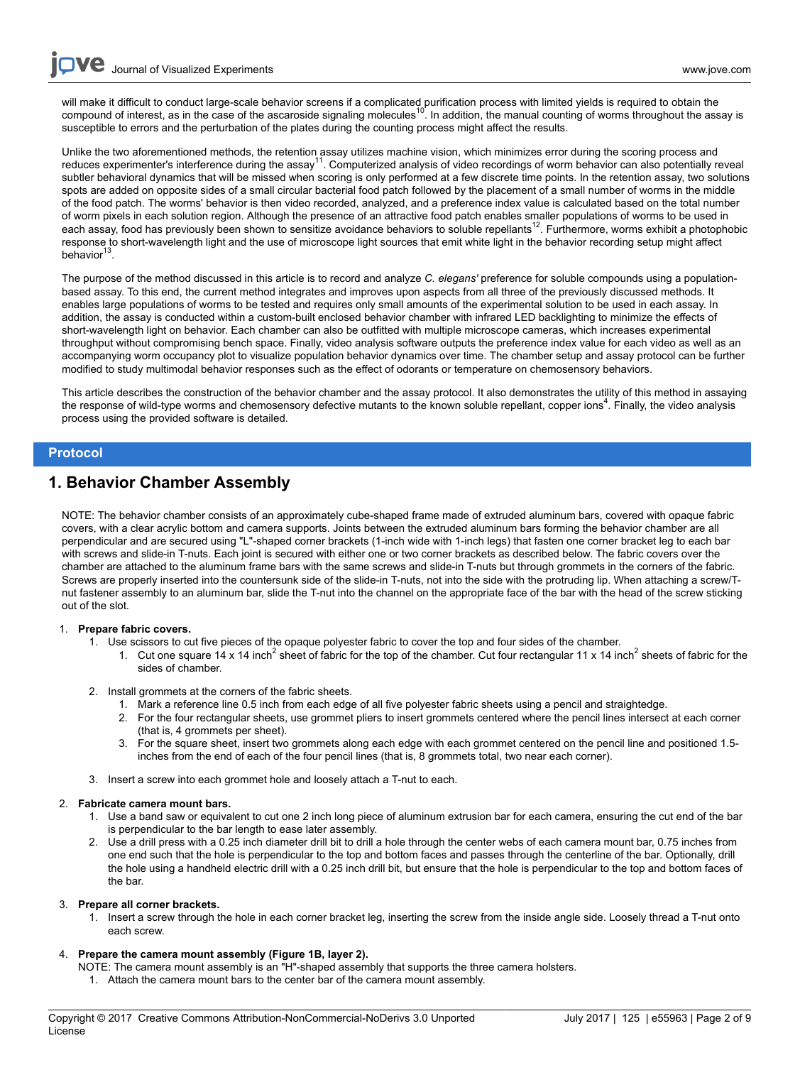will make it difficult to conduct large-scale behavior screens if a complicated purification process with limited yields is required to obtain the compound of interest, as in the case of the ascaroside signaling molecules<sup>10</sup>. In addition, the manual counting of worms throughout the assay is susceptible to errors and the perturbation of the plates during the counting process might affect the results.

Unlike the two aforementioned methods, the retention assay utilizes machine vision, which minimizes error during the scoring process and reduces experimenter's interference during the assay<sup>11</sup>. Computerized analysis of video recordings of worm behavior can also potentially reveal subtler behavioral dynamics that will be missed when scoring is only performed at a few discrete time points. In the retention assay, two solutions spots are added on opposite sides of a small circular bacterial food patch followed by the placement of a small number of worms in the middle of the food patch. The worms' behavior is then video recorded, analyzed, and a preference index value is calculated based on the total number of worm pixels in each solution region. Although the presence of an attractive food patch enables smaller populations of worms to be used in each assay, food has previously been shown to sensitize avoidance behaviors to soluble repellants<sup>12</sup>. Furthermore, worms exhibit a photophobic response to short-wavelength light and the use of microscope light sources that emit white light in the behavior recording setup might affect behavior .

The purpose of the method discussed in this article is to record and analyze *C. elegans'* preference for soluble compounds using a populationbased assay. To this end, the current method integrates and improves upon aspects from all three of the previously discussed methods. It enables large populations of worms to be tested and requires only small amounts of the experimental solution to be used in each assay. In addition, the assay is conducted within a custom-built enclosed behavior chamber with infrared LED backlighting to minimize the effects of short-wavelength light on behavior. Each chamber can also be outfitted with multiple microscope cameras, which increases experimental throughput without compromising bench space. Finally, video analysis software outputs the preference index value for each video as well as an accompanying worm occupancy plot to visualize population behavior dynamics over time. The chamber setup and assay protocol can be further modified to study multimodal behavior responses such as the effect of odorants or temperature on chemosensory behaviors.

This article describes the construction of the behavior chamber and the assay protocol. It also demonstrates the utility of this method in assaying the response of wild-type worms and chemosensory defective mutants to the known soluble repellant, copper ions<sup>4</sup>. Finally, the video analysis process using the provided software is detailed.

## **Protocol**

## **1. Behavior Chamber Assembly**

NOTE: The behavior chamber consists of an approximately cube-shaped frame made of extruded aluminum bars, covered with opaque fabric covers, with a clear acrylic bottom and camera supports. Joints between the extruded aluminum bars forming the behavior chamber are all perpendicular and are secured using "L"-shaped corner brackets (1-inch wide with 1-inch legs) that fasten one corner bracket leg to each bar with screws and slide-in T-nuts. Each joint is secured with either one or two corner brackets as described below. The fabric covers over the chamber are attached to the aluminum frame bars with the same screws and slide-in T-nuts but through grommets in the corners of the fabric. Screws are properly inserted into the countersunk side of the slide-in T-nuts, not into the side with the protruding lip. When attaching a screw/Tnut fastener assembly to an aluminum bar, slide the T-nut into the channel on the appropriate face of the bar with the head of the screw sticking out of the slot.

#### 1. **Prepare fabric covers.**

- 1. Use scissors to cut five pieces of the opaque polyester fabric to cover the top and four sides of the chamber.
	- 1. Cut one square 14 x 14 inch<sup>2</sup> sheet of fabric for the top of the chamber. Cut four rectangular 11 x 14 inch<sup>2</sup> sheets of fabric for the sides of chamber.
- 2. Install grommets at the corners of the fabric sheets.
	- 1. Mark a reference line 0.5 inch from each edge of all five polyester fabric sheets using a pencil and straightedge.
	- 2. For the four rectangular sheets, use grommet pliers to insert grommets centered where the pencil lines intersect at each corner (that is, 4 grommets per sheet).
	- 3. For the square sheet, insert two grommets along each edge with each grommet centered on the pencil line and positioned 1.5 inches from the end of each of the four pencil lines (that is, 8 grommets total, two near each corner).
- 3. Insert a screw into each grommet hole and loosely attach a T-nut to each.

#### 2. **Fabricate camera mount bars.**

- 1. Use a band saw or equivalent to cut one 2 inch long piece of aluminum extrusion bar for each camera, ensuring the cut end of the bar is perpendicular to the bar length to ease later assembly.
- 2. Use a drill press with a 0.25 inch diameter drill bit to drill a hole through the center webs of each camera mount bar, 0.75 inches from one end such that the hole is perpendicular to the top and bottom faces and passes through the centerline of the bar. Optionally, drill the hole using a handheld electric drill with a 0.25 inch drill bit, but ensure that the hole is perpendicular to the top and bottom faces of the bar.

#### 3. **Prepare all corner brackets.**

1. Insert a screw through the hole in each corner bracket leg, inserting the screw from the inside angle side. Loosely thread a T-nut onto each screw.

## 4. **Prepare the camera mount assembly (Figure 1B, layer 2).**

- NOTE: The camera mount assembly is an "H"-shaped assembly that supports the three camera holsters.
	- 1. Attach the camera mount bars to the center bar of the camera mount assembly.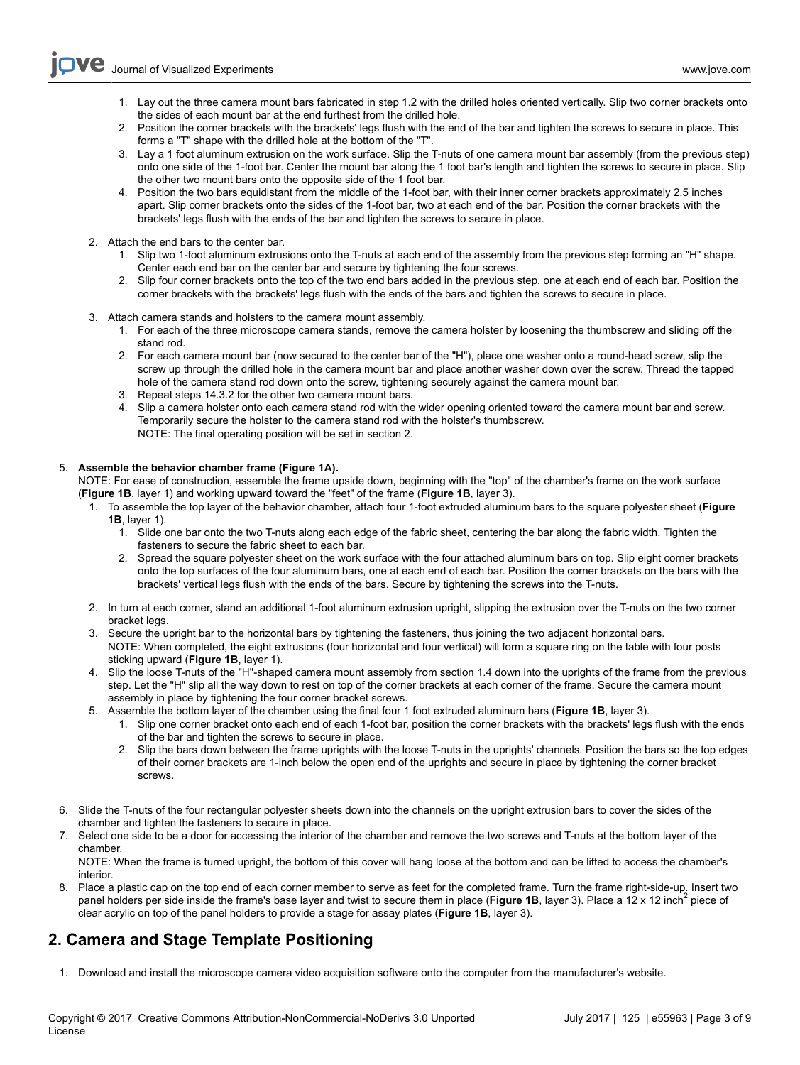**JOVE** Journal of Visualized [Experiments](https://www.jove.com) [www.jove.com](https://www.jove.com)

- 1. Lay out the three camera mount bars fabricated in step 1.2 with the drilled holes oriented vertically. Slip two corner brackets onto the sides of each mount bar at the end furthest from the drilled hole.
- 2. Position the corner brackets with the brackets' legs flush with the end of the bar and tighten the screws to secure in place. This forms a "T" shape with the drilled hole at the bottom of the "T".
- 3. Lay a 1 foot aluminum extrusion on the work surface. Slip the T-nuts of one camera mount bar assembly (from the previous step) onto one side of the 1-foot bar. Center the mount bar along the 1 foot bar's length and tighten the screws to secure in place. Slip the other two mount bars onto the opposite side of the 1 foot bar.
- 4. Position the two bars equidistant from the middle of the 1-foot bar, with their inner corner brackets approximately 2.5 inches apart. Slip corner brackets onto the sides of the 1-foot bar, two at each end of the bar. Position the corner brackets with the brackets' legs flush with the ends of the bar and tighten the screws to secure in place.
- 2. Attach the end bars to the center bar.
	- 1. Slip two 1-foot aluminum extrusions onto the T-nuts at each end of the assembly from the previous step forming an "H" shape. Center each end bar on the center bar and secure by tightening the four screws.
	- 2. Slip four corner brackets onto the top of the two end bars added in the previous step, one at each end of each bar. Position the corner brackets with the brackets' legs flush with the ends of the bars and tighten the screws to secure in place.
- 3. Attach camera stands and holsters to the camera mount assembly.
	- 1. For each of the three microscope camera stands, remove the camera holster by loosening the thumbscrew and sliding off the stand rod.
	- 2. For each camera mount bar (now secured to the center bar of the "H"), place one washer onto a round-head screw, slip the screw up through the drilled hole in the camera mount bar and place another washer down over the screw. Thread the tapped hole of the camera stand rod down onto the screw, tightening securely against the camera mount bar.
	- 3. Repeat steps 14.3.2 for the other two camera mount bars.
	- 4. Slip a camera holster onto each camera stand rod with the wider opening oriented toward the camera mount bar and screw. Temporarily secure the holster to the camera stand rod with the holster's thumbscrew. NOTE: The final operating position will be set in section 2.

## 5. **Assemble the behavior chamber frame (Figure 1A).**

NOTE: For ease of construction, assemble the frame upside down, beginning with the "top" of the chamber's frame on the work surface (**Figure 1B**, layer 1) and working upward toward the "feet" of the frame (**Figure 1B**, layer 3).

- 1. To assemble the top layer of the behavior chamber, attach four 1-foot extruded aluminum bars to the square polyester sheet (**Figure 1B**, layer 1).
	- 1. Slide one bar onto the two T-nuts along each edge of the fabric sheet, centering the bar along the fabric width. Tighten the fasteners to secure the fabric sheet to each bar.
	- 2. Spread the square polyester sheet on the work surface with the four attached aluminum bars on top. Slip eight corner brackets onto the top surfaces of the four aluminum bars, one at each end of each bar. Position the corner brackets on the bars with the brackets' vertical legs flush with the ends of the bars. Secure by tightening the screws into the T-nuts.
- 2. In turn at each corner, stand an additional 1-foot aluminum extrusion upright, slipping the extrusion over the T-nuts on the two corner bracket legs.
- 3. Secure the upright bar to the horizontal bars by tightening the fasteners, thus joining the two adjacent horizontal bars. NOTE: When completed, the eight extrusions (four horizontal and four vertical) will form a square ring on the table with four posts sticking upward (**Figure 1B**, layer 1).
- 4. Slip the loose T-nuts of the "H"-shaped camera mount assembly from section 1.4 down into the uprights of the frame from the previous step. Let the "H" slip all the way down to rest on top of the corner brackets at each corner of the frame. Secure the camera mount assembly in place by tightening the four corner bracket screws.
- 5. Assemble the bottom layer of the chamber using the final four 1 foot extruded aluminum bars (**Figure 1B**, layer 3).
	- 1. Slip one corner bracket onto each end of each 1-foot bar, position the corner brackets with the brackets' legs flush with the ends of the bar and tighten the screws to secure in place.
		- 2. Slip the bars down between the frame uprights with the loose T-nuts in the uprights' channels. Position the bars so the top edges of their corner brackets are 1-inch below the open end of the uprights and secure in place by tightening the corner bracket screws.
- 6. Slide the T-nuts of the four rectangular polyester sheets down into the channels on the upright extrusion bars to cover the sides of the chamber and tighten the fasteners to secure in place.
- 7. Select one side to be a door for accessing the interior of the chamber and remove the two screws and T-nuts at the bottom layer of the chamber.

NOTE: When the frame is turned upright, the bottom of this cover will hang loose at the bottom and can be lifted to access the chamber's interior.

8. Place a plastic cap on the top end of each corner member to serve as feet for the completed frame. Turn the frame right-side-up. Insert two panel holders per side inside the frame's base layer and twist to secure them in place (**Figure 1B**, layer 3). Place a 12 x 12 inch<sup>2</sup> piece of clear acrylic on top of the panel holders to provide a stage for assay plates (**Figure 1B**, layer 3).

# **2. Camera and Stage Template Positioning**

1. Download and install the microscope camera video acquisition software onto the computer from the manufacturer's website.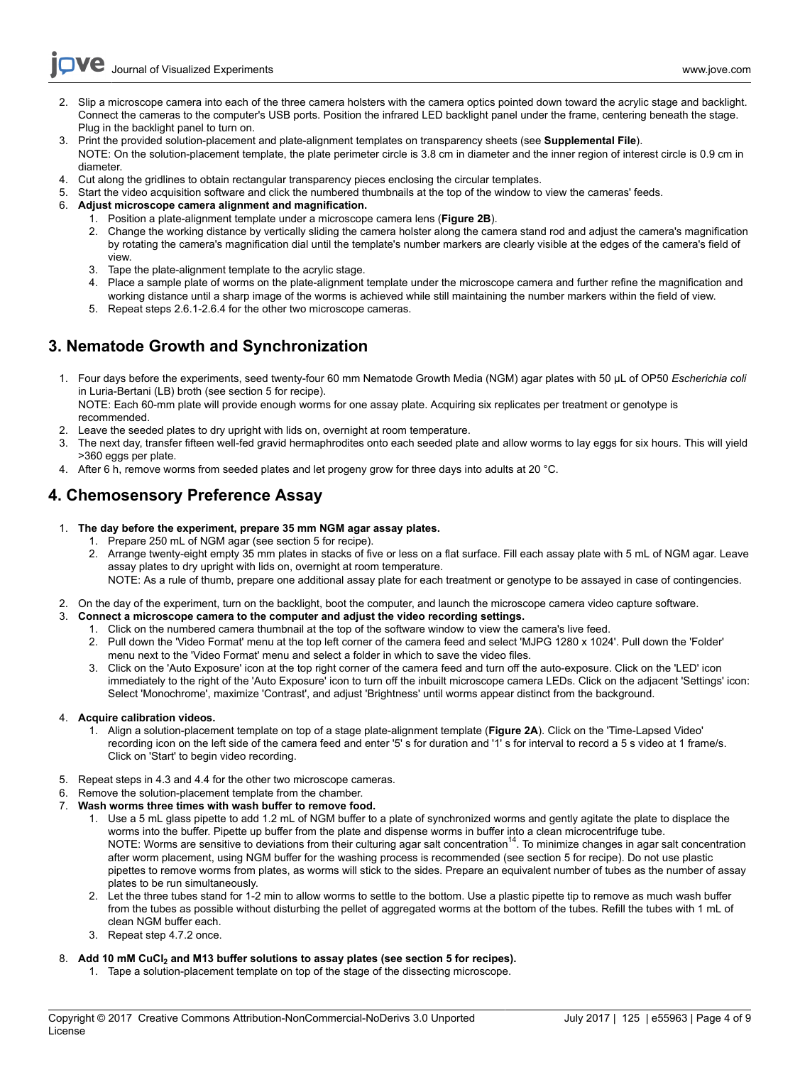**Ove** Journal of Visualized [Experiments](https://www.jove.com) [www.jove.com](https://www.jove.com)

- 2. Slip a microscope camera into each of the three camera holsters with the camera optics pointed down toward the acrylic stage and backlight. Connect the cameras to the computer's USB ports. Position the infrared LED backlight panel under the frame, centering beneath the stage. Plug in the backlight panel to turn on.
- 3. Print the provided solution-placement and plate-alignment templates on transparency sheets (see **Supplemental File**). NOTE: On the solution-placement template, the plate perimeter circle is 3.8 cm in diameter and the inner region of interest circle is 0.9 cm in diameter.
- 4. Cut along the gridlines to obtain rectangular transparency pieces enclosing the circular templates.
- 5. Start the video acquisition software and click the numbered thumbnails at the top of the window to view the cameras' feeds.
- 6. **Adjust microscope camera alignment and magnification.**
	- 1. Position a plate-alignment template under a microscope camera lens (**Figure 2B**).
	- 2. Change the working distance by vertically sliding the camera holster along the camera stand rod and adjust the camera's magnification by rotating the camera's magnification dial until the template's number markers are clearly visible at the edges of the camera's field of view.
	- 3. Tape the plate-alignment template to the acrylic stage.
	- 4. Place a sample plate of worms on the plate-alignment template under the microscope camera and further refine the magnification and working distance until a sharp image of the worms is achieved while still maintaining the number markers within the field of view.
	- 5. Repeat steps 2.6.1-2.6.4 for the other two microscope cameras.

## **3. Nematode Growth and Synchronization**

1. Four days before the experiments, seed twenty-four 60 mm Nematode Growth Media (NGM) agar plates with 50 µL of OP50 *Escherichia coli* in Luria-Bertani (LB) broth (see section 5 for recipe). NOTE: Each 60-mm plate will provide enough worms for one assay plate. Acquiring six replicates per treatment or genotype is

recommended.

- 2. Leave the seeded plates to dry upright with lids on, overnight at room temperature.
- 3. The next day, transfer fifteen well-fed gravid hermaphrodites onto each seeded plate and allow worms to lay eggs for six hours. This will yield >360 eggs per plate.
- 4. After 6 h, remove worms from seeded plates and let progeny grow for three days into adults at 20 °C.

## **4. Chemosensory Preference Assay**

- 1. **The day before the experiment, prepare 35 mm NGM agar assay plates.**
	- 1. Prepare 250 mL of NGM agar (see section 5 for recipe).
	- 2. Arrange twenty-eight empty 35 mm plates in stacks of five or less on a flat surface. Fill each assay plate with 5 mL of NGM agar. Leave assay plates to dry upright with lids on, overnight at room temperature. NOTE: As a rule of thumb, prepare one additional assay plate for each treatment or genotype to be assayed in case of contingencies.
- 2. On the day of the experiment, turn on the backlight, boot the computer, and launch the microscope camera video capture software.
- 3. **Connect a microscope camera to the computer and adjust the video recording settings.**
	- 1. Click on the numbered camera thumbnail at the top of the software window to view the camera's live feed.
	- 2. Pull down the 'Video Format' menu at the top left corner of the camera feed and select 'MJPG 1280 x 1024'. Pull down the 'Folder' menu next to the 'Video Format' menu and select a folder in which to save the video files.
	- 3. Click on the 'Auto Exposure' icon at the top right corner of the camera feed and turn off the auto-exposure. Click on the 'LED' icon immediately to the right of the 'Auto Exposure' icon to turn off the inbuilt microscope camera LEDs. Click on the adjacent 'Settings' icon: Select 'Monochrome', maximize 'Contrast', and adjust 'Brightness' until worms appear distinct from the background.

#### 4. **Acquire calibration videos.**

- 1. Align a solution-placement template on top of a stage plate-alignment template (**Figure 2A**). Click on the 'Time-Lapsed Video' recording icon on the left side of the camera feed and enter '5' s for duration and '1' s for interval to record a 5 s video at 1 frame/s. Click on 'Start' to begin video recording.
- 5. Repeat steps in 4.3 and 4.4 for the other two microscope cameras.
- 6. Remove the solution-placement template from the chamber.
- 7. **Wash worms three times with wash buffer to remove food.**
	- 1. Use a 5 mL glass pipette to add 1.2 mL of NGM buffer to a plate of synchronized worms and gently agitate the plate to displace the worms into the buffer. Pipette up buffer from the plate and dispense worms in buffer into a clean microcentrifuge tube. NOTE: Worms are sensitive to deviations from their culturing agar salt concentration<sup>14</sup>. To minimize changes in agar salt concentration after worm placement, using NGM buffer for the washing process is recommended (see section 5 for recipe). Do not use plastic pipettes to remove worms from plates, as worms will stick to the sides. Prepare an equivalent number of tubes as the number of assay plates to be run simultaneously.
	- 2. Let the three tubes stand for 1-2 min to allow worms to settle to the bottom. Use a plastic pipette tip to remove as much wash buffer from the tubes as possible without disturbing the pellet of aggregated worms at the bottom of the tubes. Refill the tubes with 1 mL of clean NGM buffer each.
	- 3. Repeat step 4.7.2 once.
- 8. **Add 10 mM CuCl2 and M13 buffer solutions to assay plates (see section 5 for recipes).**
	- 1. Tape a solution-placement template on top of the stage of the dissecting microscope.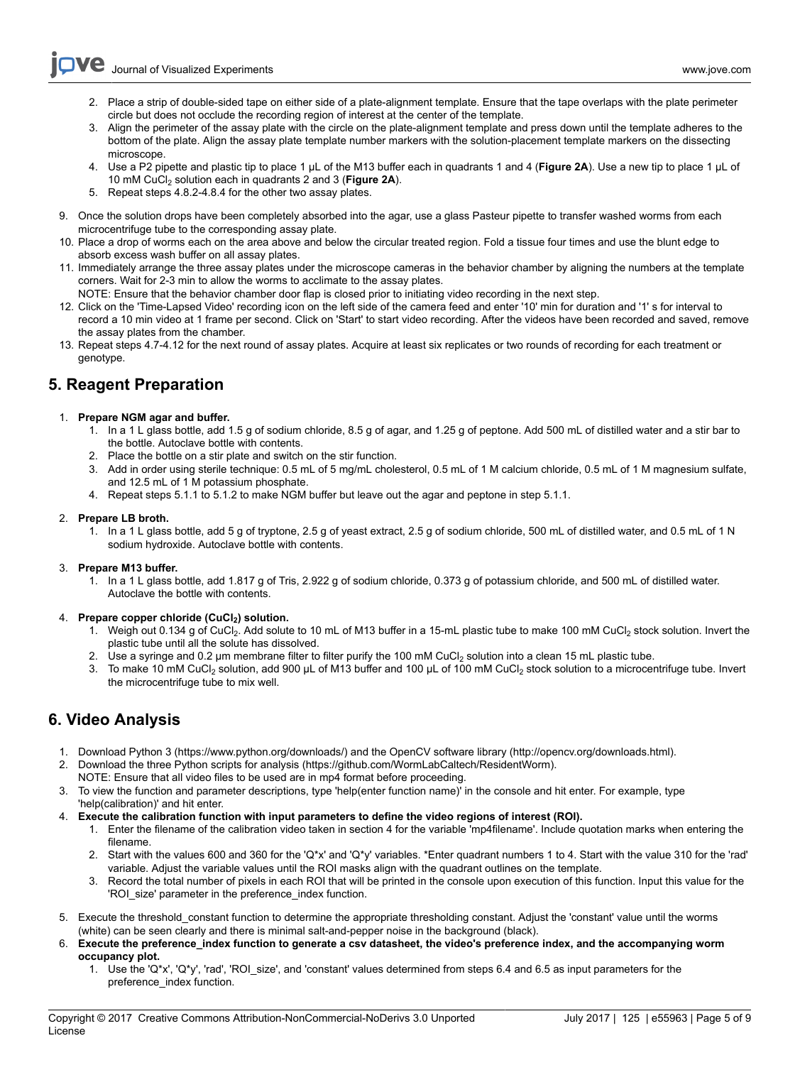**Ove** Journal of Visualized [Experiments](https://www.jove.com) [www.jove.com](https://www.jove.com)

- 2. Place a strip of double-sided tape on either side of a plate-alignment template. Ensure that the tape overlaps with the plate perimeter circle but does not occlude the recording region of interest at the center of the template.
- 3. Align the perimeter of the assay plate with the circle on the plate-alignment template and press down until the template adheres to the bottom of the plate. Align the assay plate template number markers with the solution-placement template markers on the dissecting microscope.
- 4. Use a P2 pipette and plastic tip to place 1 µL of the M13 buffer each in quadrants 1 and 4 (**Figure 2A**). Use a new tip to place 1 µL of 10 mM CuCl2 solution each in quadrants 2 and 3 (**Figure 2A**).
- 5. Repeat steps 4.8.2-4.8.4 for the other two assay plates.
- 9. Once the solution drops have been completely absorbed into the agar, use a glass Pasteur pipette to transfer washed worms from each microcentrifuge tube to the corresponding assay plate.
- 10. Place a drop of worms each on the area above and below the circular treated region. Fold a tissue four times and use the blunt edge to absorb excess wash buffer on all assay plates.
- 11. Immediately arrange the three assay plates under the microscope cameras in the behavior chamber by aligning the numbers at the template corners. Wait for 2-3 min to allow the worms to acclimate to the assay plates.
- NOTE: Ensure that the behavior chamber door flap is closed prior to initiating video recording in the next step. 12. Click on the 'Time-Lapsed Video' recording icon on the left side of the camera feed and enter '10' min for duration and '1' s for interval to
- record a 10 min video at 1 frame per second. Click on 'Start' to start video recording. After the videos have been recorded and saved, remove the assay plates from the chamber.
- 13. Repeat steps 4.7-4.12 for the next round of assay plates. Acquire at least six replicates or two rounds of recording for each treatment or genotype.

## **5. Reagent Preparation**

## 1. **Prepare NGM agar and buffer.**

- 1. In a 1 L glass bottle, add 1.5 g of sodium chloride, 8.5 g of agar, and 1.25 g of peptone. Add 500 mL of distilled water and a stir bar to the bottle. Autoclave bottle with contents.
- 2. Place the bottle on a stir plate and switch on the stir function.
- 3. Add in order using sterile technique: 0.5 mL of 5 mg/mL cholesterol, 0.5 mL of 1 M calcium chloride, 0.5 mL of 1 M magnesium sulfate, and 12.5 mL of 1 M potassium phosphate.
- 4. Repeat steps 5.1.1 to 5.1.2 to make NGM buffer but leave out the agar and peptone in step 5.1.1.

#### 2. **Prepare LB broth.**

1. In a 1 L glass bottle, add 5 g of tryptone, 2.5 g of yeast extract, 2.5 g of sodium chloride, 500 mL of distilled water, and 0.5 mL of 1 N sodium hydroxide. Autoclave bottle with contents.

## 3. **Prepare M13 buffer.**

1. In a 1 L glass bottle, add 1.817 g of Tris, 2.922 g of sodium chloride, 0.373 g of potassium chloride, and 500 mL of distilled water. Autoclave the bottle with contents.

#### 4. **Prepare copper chloride (CuCl2) solution.**

- 1. Weigh out 0.134 g of CuCl<sub>2</sub>. Add solute to 10 mL of M13 buffer in a 15-mL plastic tube to make 100 mM CuCl<sub>2</sub> stock solution. Invert the plastic tube until all the solute has dissolved.
- 2. Use a syringe and 0.2 µm membrane filter to filter purify the 100 mM CuCl<sub>2</sub> solution into a clean 15 mL plastic tube.
- 3. To make 10 mM CuCl<sub>2</sub> solution, add 900 µL of M13 buffer and 100 µL of 100 mM CuCl<sub>2</sub> stock solution to a microcentrifuge tube. Invert the microcentrifuge tube to mix well.

## **6. Video Analysis**

- 1. Download Python 3 (https://www.python.org/downloads/) and the OpenCV software library (http://opencv.org/downloads.html).
- 2. Download the three Python scripts for analysis (https://github.com/WormLabCaltech/ResidentWorm).
- NOTE: Ensure that all video files to be used are in mp4 format before proceeding.
- 3. To view the function and parameter descriptions, type 'help(enter function name)' in the console and hit enter. For example, type 'help(calibration)' and hit enter.
- 4. **Execute the calibration function with input parameters to define the video regions of interest (ROI).**
	- 1. Enter the filename of the calibration video taken in section 4 for the variable 'mp4filename'. Include quotation marks when entering the filename.
	- 2. Start with the values 600 and 360 for the 'Q\*x' and 'Q\*y' variables. \*Enter quadrant numbers 1 to 4. Start with the value 310 for the 'rad' variable. Adjust the variable values until the ROI masks align with the quadrant outlines on the template.
	- 3. Record the total number of pixels in each ROI that will be printed in the console upon execution of this function. Input this value for the 'ROI\_size' parameter in the preference\_index function.
- 5. Execute the threshold\_constant function to determine the appropriate thresholding constant. Adjust the 'constant' value until the worms (white) can be seen clearly and there is minimal salt-and-pepper noise in the background (black).
- 6. **Execute the preference\_index function to generate a csv datasheet, the video's preference index, and the accompanying worm occupancy plot.**
	- 1. Use the 'Q\*x', 'Q\*y', 'rad', 'ROI size', and 'constant' values determined from steps 6.4 and 6.5 as input parameters for the preference\_index function.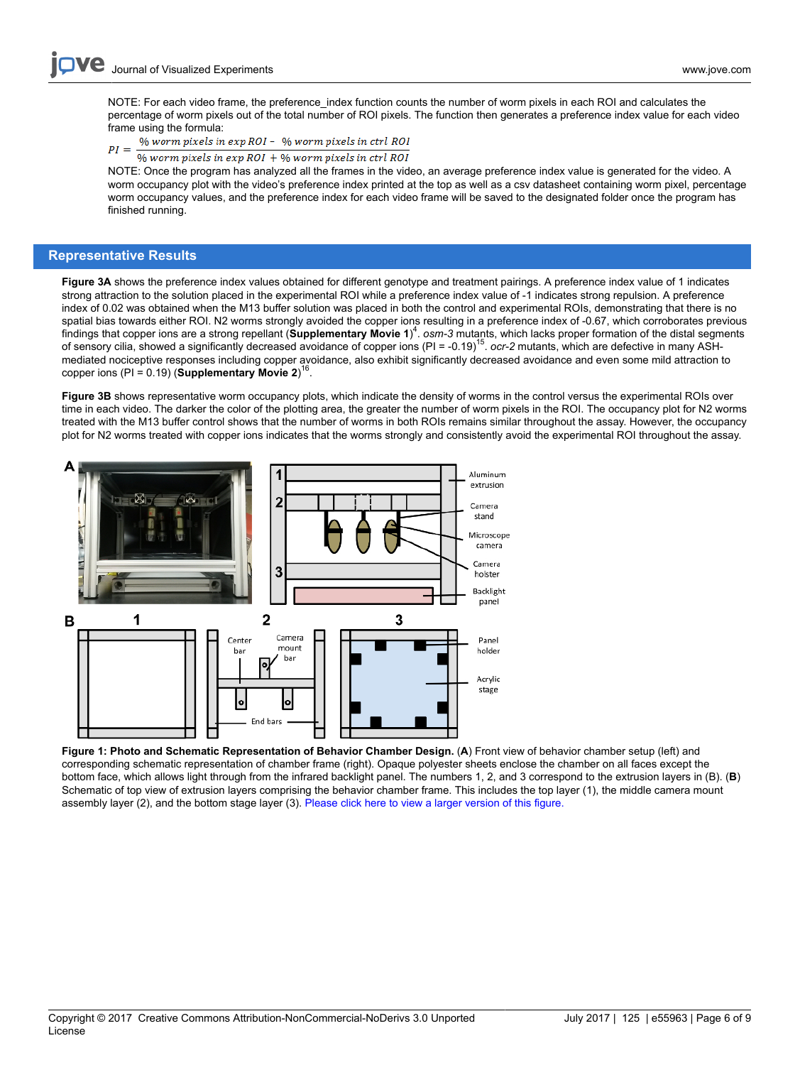NOTE: For each video frame, the preference\_index function counts the number of worm pixels in each ROI and calculates the percentage of worm pixels out of the total number of ROI pixels. The function then generates a preference index value for each video frame using the formula:

% worm pixels in exp ROI - % worm pixels in ctrl ROI  $PI =$ 

```
% worm pixels in exp ROI + % worm pixels in ctrl ROI
```
NOTE: Once the program has analyzed all the frames in the video, an average preference index value is generated for the video. A worm occupancy plot with the video's preference index printed at the top as well as a csv datasheet containing worm pixel, percentage worm occupancy values, and the preference index for each video frame will be saved to the designated folder once the program has finished running.

## **Representative Results**

**Figure 3A** shows the preference index values obtained for different genotype and treatment pairings. A preference index value of 1 indicates strong attraction to the solution placed in the experimental ROI while a preference index value of -1 indicates strong repulsion. A preference index of 0.02 was obtained when the M13 buffer solution was placed in both the control and experimental ROIs, demonstrating that there is no spatial bias towards either ROI. N2 worms strongly avoided the copper ions resulting in a preference index of -0.67, which corroborates previous findings that copper ions are a strong repellant (Supplementary Movie 1)<sup>4</sup>. *osm*-3 mutants, which lacks proper formation of the distal segments of sensory cilia, showed a significantly decreased avoidance of copper ions (PI = -0.19)<sup>15</sup>. *ocr*-2 mutants, which are defective in many ASHmediated nociceptive responses including copper avoidance, also exhibit significantly decreased avoidance and even some mild attraction to copper ions (PI =  $0.19$ ) (**Supplementary Movie 2**)<sup>16</sup>.

**Figure 3B** shows representative worm occupancy plots, which indicate the density of worms in the control versus the experimental ROIs over time in each video. The darker the color of the plotting area, the greater the number of worm pixels in the ROI. The occupancy plot for N2 worms treated with the M13 buffer control shows that the number of worms in both ROIs remains similar throughout the assay. However, the occupancy plot for N2 worms treated with copper ions indicates that the worms strongly and consistently avoid the experimental ROI throughout the assay.



**Figure 1: Photo and Schematic Representation of Behavior Chamber Design.** (**A**) Front view of behavior chamber setup (left) and corresponding schematic representation of chamber frame (right). Opaque polyester sheets enclose the chamber on all faces except the bottom face, which allows light through from the infrared backlight panel. The numbers 1, 2, and 3 correspond to the extrusion layers in (B). (**B**) Schematic of top view of extrusion layers comprising the behavior chamber frame. This includes the top layer (1), the middle camera mount assembly layer (2), and the bottom stage layer (3). [Please click here to view a larger version of this figure.](http://ecsource.jove.com/files/ftp_upload/55963/55963fig1large.jpg)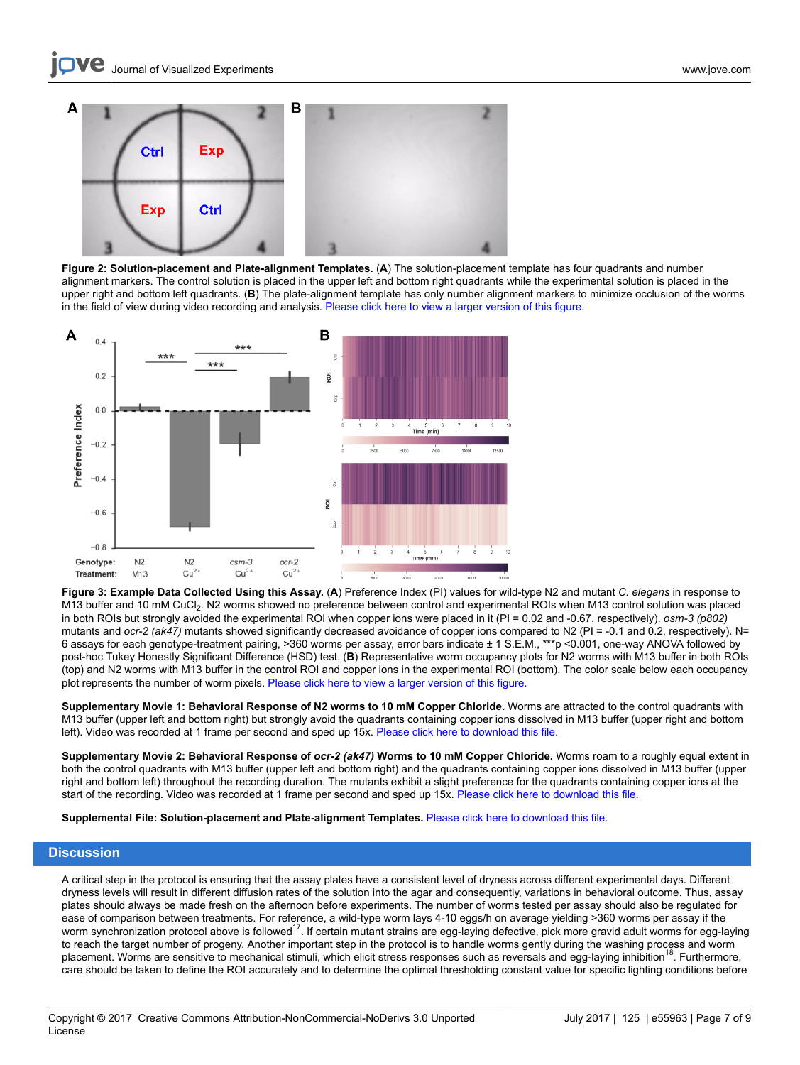

**Figure 2: Solution-placement and Plate-alignment Templates.** (**A**) The solution-placement template has four quadrants and number alignment markers. The control solution is placed in the upper left and bottom right quadrants while the experimental solution is placed in the upper right and bottom left quadrants. (**B**) The plate-alignment template has only number alignment markers to minimize occlusion of the worms in the field of view during video recording and analysis. [Please click here to view a larger version of this figure.](http://ecsource.jove.com/files/ftp_upload/55963/55963fig2large.jpg)



**Figure 3: Example Data Collected Using this Assay.** (**A**) Preference Index (PI) values for wild-type N2 and mutant *C. elegans* in response to M13 buffer and 10 mM CuCl2. N2 worms showed no preference between control and experimental ROIs when M13 control solution was placed in both ROIs but strongly avoided the experimental ROI when copper ions were placed in it (PI = 0.02 and -0.67, respectively). *osm-3 (p802)* mutants and *ocr-2 (ak47)* mutants showed significantly decreased avoidance of copper ions compared to N2 (PI = -0.1 and 0.2, respectively). N= 6 assays for each genotype-treatment pairing, >360 worms per assay, error bars indicate ± 1 S.E.M., \*\*\*p <0.001, one-way ANOVA followed by post-hoc Tukey Honestly Significant Difference (HSD) test. (**B**) Representative worm occupancy plots for N2 worms with M13 buffer in both ROIs (top) and N2 worms with M13 buffer in the control ROI and copper ions in the experimental ROI (bottom). The color scale below each occupancy plot represents the number of worm pixels. [Please click here to view a larger version of this figure.](http://ecsource.jove.com/files/ftp_upload/55963/55963fig3large.jpg)

**Supplementary Movie 1: Behavioral Response of N2 worms to 10 mM Copper Chloride.** Worms are attracted to the control quadrants with M13 buffer (upper left and bottom right) but strongly avoid the quadrants containing copper ions dissolved in M13 buffer (upper right and bottom left). Video was recorded at 1 frame per second and sped up 15x. [Please click here to download this file.](http://ecsource.jove.com/files/ftp_upload/55963/Supplementary_Video_1.mp4)

**Supplementary Movie 2: Behavioral Response of** *ocr-2 (ak47)* **Worms to 10 mM Copper Chloride.** Worms roam to a roughly equal extent in both the control quadrants with M13 buffer (upper left and bottom right) and the quadrants containing copper ions dissolved in M13 buffer (upper right and bottom left) throughout the recording duration. The mutants exhibit a slight preference for the quadrants containing copper ions at the start of the recording. Video was recorded at 1 frame per second and sped up 15x. [Please click here to download this file.](http://ecsource.jove.com/files/ftp_upload/55963/Supplementary_video_2.mp4)

**Supplemental File: Solution-placement and Plate-alignment Templates.** [Please click here to download this file.](http://ecsource.jove.com/files/ftp_upload/55963/JoVE_template.pptx)

#### **Discussion**

A critical step in the protocol is ensuring that the assay plates have a consistent level of dryness across different experimental days. Different dryness levels will result in different diffusion rates of the solution into the agar and consequently, variations in behavioral outcome. Thus, assay plates should always be made fresh on the afternoon before experiments. The number of worms tested per assay should also be regulated for ease of comparison between treatments. For reference, a wild-type worm lays 4-10 eggs/h on average yielding >360 worms per assay if the worm synchronization protocol above is followed<sup>17</sup>. If certain mutant strains are egg-laying defective, pick more gravid adult worms for egg-laying to reach the target number of progeny. Another important step in the protocol is to handle worms gently during the washing process and worm placement. Worms are sensitive to mechanical stimuli, which elicit stress responses such as reversals and egg-laying inhibition<sup>18</sup>. Furthermore, care should be taken to define the ROI accurately and to determine the optimal thresholding constant value for specific lighting conditions before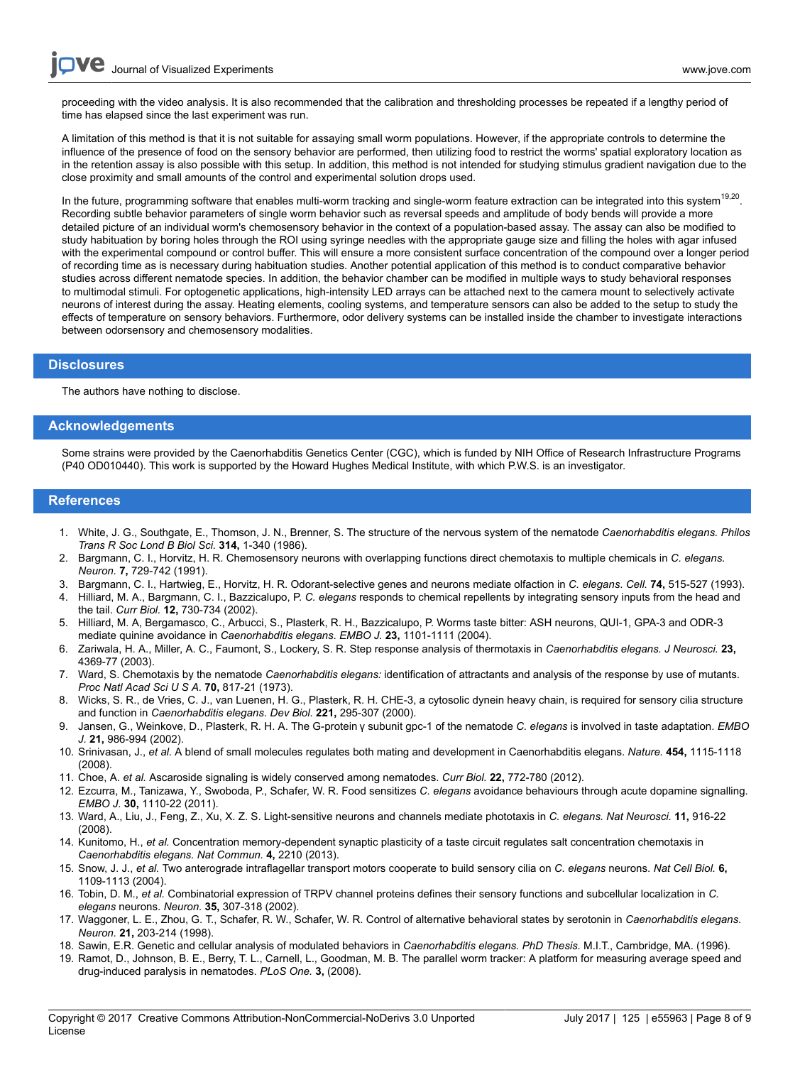proceeding with the video analysis. It is also recommended that the calibration and thresholding processes be repeated if a lengthy period of time has elapsed since the last experiment was run.

A limitation of this method is that it is not suitable for assaying small worm populations. However, if the appropriate controls to determine the influence of the presence of food on the sensory behavior are performed, then utilizing food to restrict the worms' spatial exploratory location as in the retention assay is also possible with this setup. In addition, this method is not intended for studying stimulus gradient navigation due to the close proximity and small amounts of the control and experimental solution drops used.

In the future, programming software that enables multi-worm tracking and single-worm feature extraction can be integrated into this system<sup>19,20</sup>. Recording subtle behavior parameters of single worm behavior such as reversal speeds and amplitude of body bends will provide a more detailed picture of an individual worm's chemosensory behavior in the context of a population-based assay. The assay can also be modified to study habituation by boring holes through the ROI using syringe needles with the appropriate gauge size and filling the holes with agar infused with the experimental compound or control buffer. This will ensure a more consistent surface concentration of the compound over a longer period of recording time as is necessary during habituation studies. Another potential application of this method is to conduct comparative behavior studies across different nematode species. In addition, the behavior chamber can be modified in multiple ways to study behavioral responses to multimodal stimuli. For optogenetic applications, high-intensity LED arrays can be attached next to the camera mount to selectively activate neurons of interest during the assay. Heating elements, cooling systems, and temperature sensors can also be added to the setup to study the effects of temperature on sensory behaviors. Furthermore, odor delivery systems can be installed inside the chamber to investigate interactions between odorsensory and chemosensory modalities.

#### **Disclosures**

The authors have nothing to disclose.

## **Acknowledgements**

Some strains were provided by the Caenorhabditis Genetics Center (CGC), which is funded by NIH Office of Research Infrastructure Programs (P40 OD010440). This work is supported by the Howard Hughes Medical Institute, with which P.W.S. is an investigator.

#### **References**

- 1. White, J. G., Southgate, E., Thomson, J. N., Brenner, S. The structure of the nervous system of the nematode *Caenorhabditis elegans. Philos Trans R Soc Lond B Biol Sci.* **314,** 1-340 (1986).
- 2. Bargmann, C. I., Horvitz, H. R. Chemosensory neurons with overlapping functions direct chemotaxis to multiple chemicals in *C. elegans. Neuron.* **7,** 729-742 (1991).
- 3. Bargmann, C. I., Hartwieg, E., Horvitz, H. R. Odorant-selective genes and neurons mediate olfaction in *C. elegans*. *Cell.* **74,** 515-527 (1993).
- 4. Hilliard, M. A., Bargmann, C. I., Bazzicalupo, P. *C. elegans* responds to chemical repellents by integrating sensory inputs from the head and the tail. *Curr Biol.* **12,** 730-734 (2002).
- 5. Hilliard, M. A, Bergamasco, C., Arbucci, S., Plasterk, R. H., Bazzicalupo, P. Worms taste bitter: ASH neurons, QUI-1, GPA-3 and ODR-3 mediate quinine avoidance in *Caenorhabditis elegans*. *EMBO J.* **23,** 1101-1111 (2004).
- 6. Zariwala, H. A., Miller, A. C., Faumont, S., Lockery, S. R. Step response analysis of thermotaxis in *Caenorhabditis elegans. J Neurosci.* **23,** 4369-77 (2003).
- 7. Ward, S. Chemotaxis by the nematode *Caenorhabditis elegans:* identification of attractants and analysis of the response by use of mutants. *Proc Natl Acad Sci U S A.* **70,** 817-21 (1973).
- 8. Wicks, S. R., de Vries, C. J., van Luenen, H. G., Plasterk, R. H. CHE-3, a cytosolic dynein heavy chain, is required for sensory cilia structure and function in *Caenorhabditis elegans*. *Dev Biol.* **221,** 295-307 (2000).
- 9. Jansen, G., Weinkove, D., Plasterk, R. H. A. The G-protein γ subunit gpc-1 of the nematode *C. elegans* is involved in taste adaptation. *EMBO J.* **21,** 986-994 (2002).
- 10. Srinivasan, J., *et al.* A blend of small molecules regulates both mating and development in Caenorhabditis elegans. *Nature.* **454,** 1115-1118 (2008).
- 11. Choe, A. *et al.* Ascaroside signaling is widely conserved among nematodes. *Curr Biol.* **22,** 772-780 (2012).
- 12. Ezcurra, M., Tanizawa, Y., Swoboda, P., Schafer, W. R. Food sensitizes *C. elegans* avoidance behaviours through acute dopamine signalling. *EMBO J.* **30,** 1110-22 (2011).
- 13. Ward, A., Liu, J., Feng, Z., Xu, X. Z. S. Light-sensitive neurons and channels mediate phototaxis in *C. elegans. Nat Neurosci.* **11,** 916-22 (2008).
- 14. Kunitomo, H., *et al.* Concentration memory-dependent synaptic plasticity of a taste circuit regulates salt concentration chemotaxis in *Caenorhabditis elegans. Nat Commun.* **4,** 2210 (2013).
- 15. Snow, J. J., *et al.* Two anterograde intraflagellar transport motors cooperate to build sensory cilia on *C. elegans* neurons. *Nat Cell Biol.* **6,** 1109-1113 (2004).
- 16. Tobin, D. M., *et al.* Combinatorial expression of TRPV channel proteins defines their sensory functions and subcellular localization in *C. elegans* neurons. *Neuron.* **35,** 307-318 (2002).
- 17. Waggoner, L. E., Zhou, G. T., Schafer, R. W., Schafer, W. R. Control of alternative behavioral states by serotonin in *Caenorhabditis elegans*. *Neuron.* **21,** 203-214 (1998).
- 18. Sawin, E.R. Genetic and cellular analysis of modulated behaviors in *Caenorhabditis elegans. PhD Thesis.* M.I.T., Cambridge, MA. (1996).
- 19. Ramot, D., Johnson, B. E., Berry, T. L., Carnell, L., Goodman, M. B. The parallel worm tracker: A platform for measuring average speed and drug-induced paralysis in nematodes. *PLoS One.* **3,** (2008).